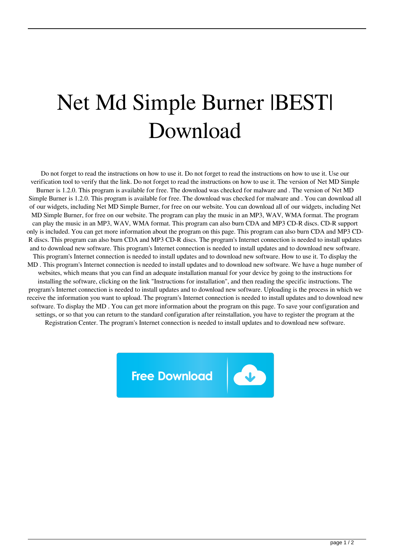## Net Md Simple Burner |BEST| Download

Do not forget to read the instructions on how to use it. Do not forget to read the instructions on how to use it. Use our verification tool to verify that the link. Do not forget to read the instructions on how to use it. The version of Net MD Simple Burner is 1.2.0. This program is available for free. The download was checked for malware and . The version of Net MD Simple Burner is 1.2.0. This program is available for free. The download was checked for malware and . You can download all of our widgets, including Net MD Simple Burner, for free on our website. You can download all of our widgets, including Net MD Simple Burner, for free on our website. The program can play the music in an MP3, WAV, WMA format. The program can play the music in an MP3, WAV, WMA format. This program can also burn CDA and MP3 CD-R discs. CD-R support only is included. You can get more information about the program on this page. This program can also burn CDA and MP3 CD-R discs. This program can also burn CDA and MP3 CD-R discs. The program's Internet connection is needed to install updates and to download new software. This program's Internet connection is needed to install updates and to download new software. This program's Internet connection is needed to install updates and to download new software. How to use it. To display the MD . This program's Internet connection is needed to install updates and to download new software. We have a huge number of websites, which means that you can find an adequate installation manual for your device by going to the instructions for installing the software, clicking on the link "Instructions for installation", and then reading the specific instructions. The program's Internet connection is needed to install updates and to download new software. Uploading is the process in which we receive the information you want to upload. The program's Internet connection is needed to install updates and to download new software. To display the MD . You can get more information about the program on this page. To save your configuration and settings, or so that you can return to the standard configuration after reinstallation, you have to register the program at the Registration Center. The program's Internet connection is needed to install updates and to download new software.

**Free Download**